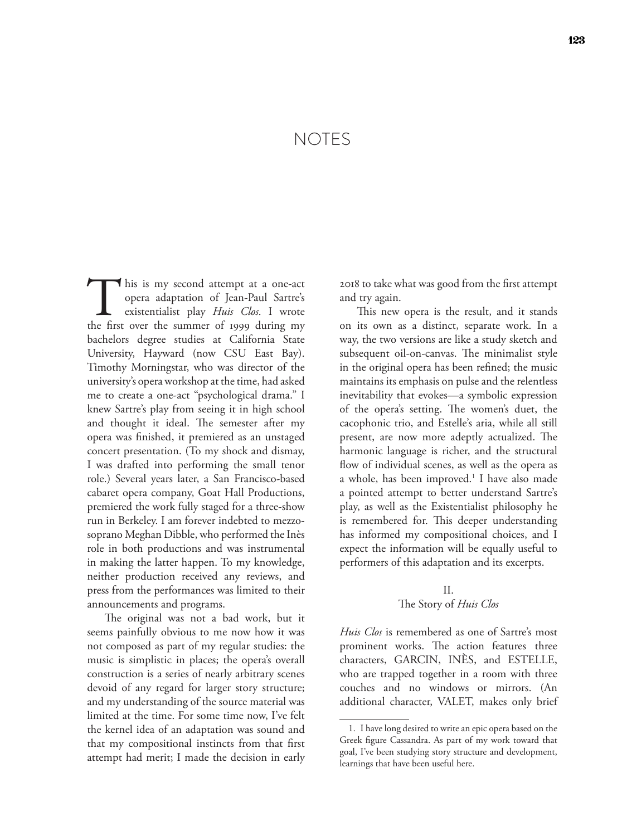# NOTES

This is my second attempt at a one-act opera adaptation of Jean-Paul Sartre's existentialist play *Huis Clos*. I wrote the first over the summer of 1999 during my opera adaptation of Jean-Paul Sartre's existentialist play *Huis Clos*. I wrote bachelors degree studies at California State University, Hayward (now CSU East Bay). Timothy Morningstar, who was director of the university's opera workshop at the time, had asked me to create a one-act "psychological drama." I knew Sartre's play from seeing it in high school and thought it ideal. The semester after my opera was finished, it premiered as an unstaged concert presentation. (To my shock and dismay, I was drafted into performing the small tenor role.) Several years later, a San Francisco-based cabaret opera company, Goat Hall Productions, premiered the work fully staged for a three-show run in Berkeley. I am forever indebted to mezzosoprano Meghan Dibble, who performed the Inès role in both productions and was instrumental in making the latter happen. To my knowledge, neither production received any reviews, and press from the performances was limited to their announcements and programs.

The original was not a bad work, but it seems painfully obvious to me now how it was not composed as part of my regular studies: the music is simplistic in places; the opera's overall construction is a series of nearly arbitrary scenes devoid of any regard for larger story structure; and my understanding of the source material was limited at the time. For some time now, I've felt the kernel idea of an adaptation was sound and that my compositional instincts from that first attempt had merit; I made the decision in early

2018 to take what was good from the first attempt and try again.

This new opera is the result, and it stands on its own as a distinct, separate work. In a way, the two versions are like a study sketch and subsequent oil-on-canvas. The minimalist style in the original opera has been refined; the music maintains its emphasis on pulse and the relentless inevitability that evokes—a symbolic expression of the opera's setting. The women's duet, the cacophonic trio, and Estelle's aria, while all still present, are now more adeptly actualized. The harmonic language is richer, and the structural flow of individual scenes, as well as the opera as a whole, has been improved.<sup>1</sup> I have also made a pointed attempt to better understand Sartre's play, as well as the Existentialist philosophy he is remembered for. This deeper understanding has informed my compositional choices, and I expect the information will be equally useful to performers of this adaptation and its excerpts.

### II. The Story of *Huis Clos*

*Huis Clos* is remembered as one of Sartre's most prominent works. The action features three characters, GARCIN, INÈS, and ESTELLE, who are trapped together in a room with three couches and no windows or mirrors. (An additional character, VALET, makes only brief

<sup>1.</sup> I have long desired to write an epic opera based on the Greek figure Cassandra. As part of my work toward that goal, I've been studying story structure and development, learnings that have been useful here.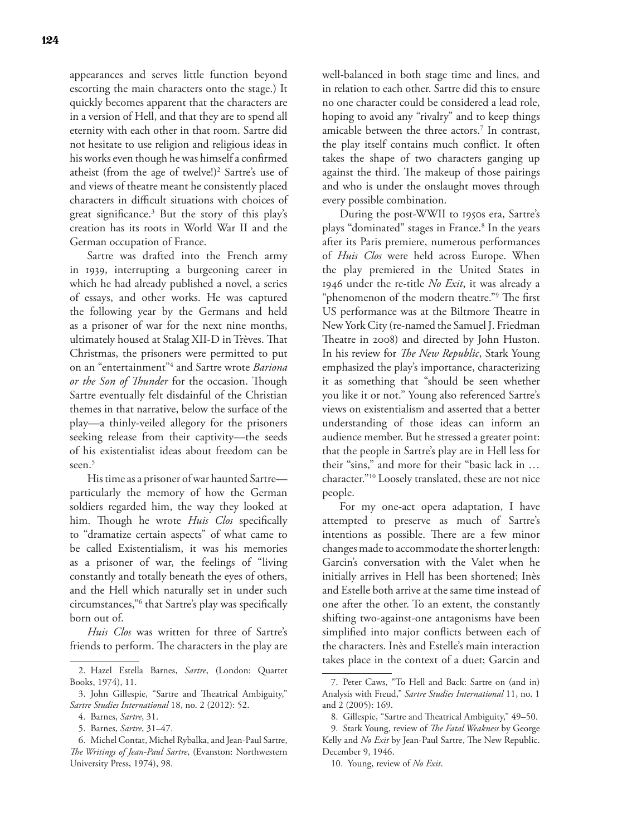appearances and serves little function beyond escorting the main characters onto the stage.) It quickly becomes apparent that the characters are in a version of Hell, and that they are to spend all eternity with each other in that room. Sartre did not hesitate to use religion and religious ideas in his works even though he was himself a confirmed atheist (from the age of twelve!)<sup>2</sup> Sartre's use of and views of theatre meant he consistently placed characters in difficult situations with choices of great significance.3 But the story of this play's creation has its roots in World War II and the German occupation of France.

Sartre was drafted into the French army in 1939, interrupting a burgeoning career in which he had already published a novel, a series of essays, and other works. He was captured the following year by the Germans and held as a prisoner of war for the next nine months, ultimately housed at Stalag XII-D in Trèves. That Christmas, the prisoners were permitted to put on an "entertainment"4 and Sartre wrote *Bariona or the Son of Thunder* for the occasion. Though Sartre eventually felt disdainful of the Christian themes in that narrative, below the surface of the play—a thinly-veiled allegory for the prisoners seeking release from their captivity—the seeds of his existentialist ideas about freedom can be seen.<sup>5</sup>

His time as a prisoner of war haunted Sartre particularly the memory of how the German soldiers regarded him, the way they looked at him. Though he wrote *Huis Clos* specifically to "dramatize certain aspects" of what came to be called Existentialism, it was his memories as a prisoner of war, the feelings of "living constantly and totally beneath the eyes of others, and the Hell which naturally set in under such circumstances,"6 that Sartre's play was specifically born out of.

*Huis Clos* was written for three of Sartre's friends to perform. The characters in the play are well-balanced in both stage time and lines, and in relation to each other. Sartre did this to ensure no one character could be considered a lead role, hoping to avoid any "rivalry" and to keep things amicable between the three actors.<sup>7</sup> In contrast, the play itself contains much conflict. It often takes the shape of two characters ganging up against the third. The makeup of those pairings and who is under the onslaught moves through every possible combination.

During the post-WWII to 1950s era, Sartre's plays "dominated" stages in France.<sup>8</sup> In the years after its Paris premiere, numerous performances of *Huis Clos* were held across Europe. When the play premiered in the United States in 1946 under the re-title *No Exit*, it was already a "phenomenon of the modern theatre."9 The first US performance was at the Biltmore Theatre in New York City (re-named the Samuel J. Friedman Theatre in 2008) and directed by John Huston. In his review for *The New Republic*, Stark Young emphasized the play's importance, characterizing it as something that "should be seen whether you like it or not." Young also referenced Sartre's views on existentialism and asserted that a better understanding of those ideas can inform an audience member. But he stressed a greater point: that the people in Sartre's play are in Hell less for their "sins," and more for their "basic lack in … character."10 Loosely translated, these are not nice people.

For my one-act opera adaptation, I have attempted to preserve as much of Sartre's intentions as possible. There are a few minor changes made to accommodate the shorter length: Garcin's conversation with the Valet when he initially arrives in Hell has been shortened; Inès and Estelle both arrive at the same time instead of one after the other. To an extent, the constantly shifting two-against-one antagonisms have been simplified into major conflicts between each of the characters. Inès and Estelle's main interaction takes place in the context of a duet; Garcin and

<sup>2.</sup> Hazel Estella Barnes, *Sartre*, (London: Quartet Books, 1974), 11.

<sup>3.</sup> John Gillespie, "Sartre and Theatrical Ambiguity," *Sartre Studies International* 18, no. 2 (2012): 52.

<sup>4.</sup> Barnes, *Sartre*, 31.

<sup>5.</sup> Barnes, *Sartre*, 31–47.

<sup>6.</sup> Michel Contat, Michel Rybalka, and Jean-Paul Sartre, *The Writings of Jean-Paul Sartre*, (Evanston: Northwestern University Press, 1974), 98.

<sup>7.</sup> Peter Caws, "To Hell and Back: Sartre on (and in) Analysis with Freud," *Sartre Studies International* 11, no. 1 and 2 (2005): 169.

<sup>8.</sup> Gillespie, "Sartre and Theatrical Ambiguity," 49–50.

<sup>9.</sup> Stark Young, review of *The Fatal Weakness* by George Kelly and *No Exit* by Jean-Paul Sartre, The New Republic. December 9, 1946.

<sup>10.</sup> Young, review of *No Exit*.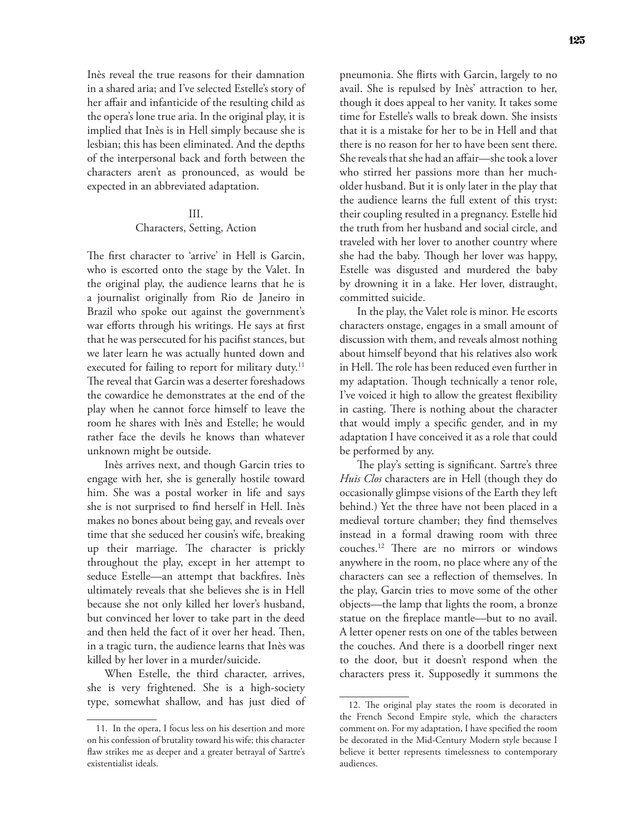Inès reveal the true reasons for their damnation in a shared aria; and I've selected Estelle's story of her affair and infanticide of the resulting child as the opera's lone true aria. In the original play, it is implied that Inès is in Hell simply because she is lesbian; this has been eliminated. And the depths of the interpersonal back and forth between the characters aren't as pronounced, as would be expected in an abbreviated adaptation.

#### III.

#### Characters, Setting, Action

The first character to 'arrive' in Hell is Garcin, who is escorted onto the stage by the Valet. In the original play, the audience learns that he is a journalist originally from Rio de Janeiro in Brazil who spoke out against the government's war efforts through his writings. He says at first that he was persecuted for his pacifist stances, but we later learn he was actually hunted down and executed for failing to report for military duty.<sup>11</sup> The reveal that Garcin was a deserter foreshadows the cowardice he demonstrates at the end of the play when he cannot force himself to leave the room he shares with Inès and Estelle; he would rather face the devils he knows than whatever unknown might be outside.

Inès arrives next, and though Garcin tries to engage with her, she is generally hostile toward him. She was a postal worker in life and says she is not surprised to find herself in Hell. Inès makes no bones about being gay, and reveals over time that she seduced her cousin's wife, breaking up their marriage. The character is prickly throughout the play, except in her attempt to seduce Estelle—an attempt that backfires. Inès ultimately reveals that she believes she is in Hell because she not only killed her lover's husband, but convinced her lover to take part in the deed and then held the fact of it over her head. Then, in a tragic turn, the audience learns that Inès was killed by her lover in a murder/suicide.

When Estelle, the third character, arrives, she is very frightened. She is a high-society type, somewhat shallow, and has just died of

pneumonia. She flirts with Garcin, largely to no avail. She is repulsed by Inès' attraction to her, though it does appeal to her vanity. It takes some time for Estelle's walls to break down. She insists that it is a mistake for her to be in Hell and that there is no reason for her to have been sent there. She reveals that she had an affair—she took a lover who stirred her passions more than her mucholder husband. But it is only later in the play that the audience learns the full extent of this tryst: their coupling resulted in a pregnancy. Estelle hid the truth from her husband and social circle, and traveled with her lover to another country where she had the baby. Though her lover was happy, Estelle was disgusted and murdered the baby by drowning it in a lake. Her lover, distraught, committed suicide.

In the play, the Valet role is minor. He escorts characters onstage, engages in a small amount of discussion with them, and reveals almost nothing about himself beyond that his relatives also work in Hell. The role has been reduced even further in my adaptation. Though technically a tenor role, I've voiced it high to allow the greatest flexibility in casting. There is nothing about the character that would imply a specific gender, and in my adaptation I have conceived it as a role that could be performed by any.

The play's setting is significant. Sartre's three *Huis Clos* characters are in Hell (though they do occasionally glimpse visions of the Earth they left behind.) Yet the three have not been placed in a medieval torture chamber; they find themselves instead in a formal drawing room with three couches.12 There are no mirrors or windows anywhere in the room, no place where any of the characters can see a reflection of themselves. In the play, Garcin tries to move some of the other objects—the lamp that lights the room, a bronze statue on the fireplace mantle––but to no avail. A letter opener rests on one of the tables between the couches. And there is a doorbell ringer next to the door, but it doesn't respond when the characters press it. Supposedly it summons the

<sup>11.</sup> In the opera, I focus less on his desertion and more on his confession of brutality toward his wife; this character flaw strikes me as deeper and a greater betrayal of Sartre's existentialist ideals.

<sup>12.</sup> The original play states the room is decorated in the French Second Empire style, which the characters comment on. For my adaptation, I have specified the room be decorated in the Mid-Century Modern style because I believe it better represents timelessness to contemporary audiences.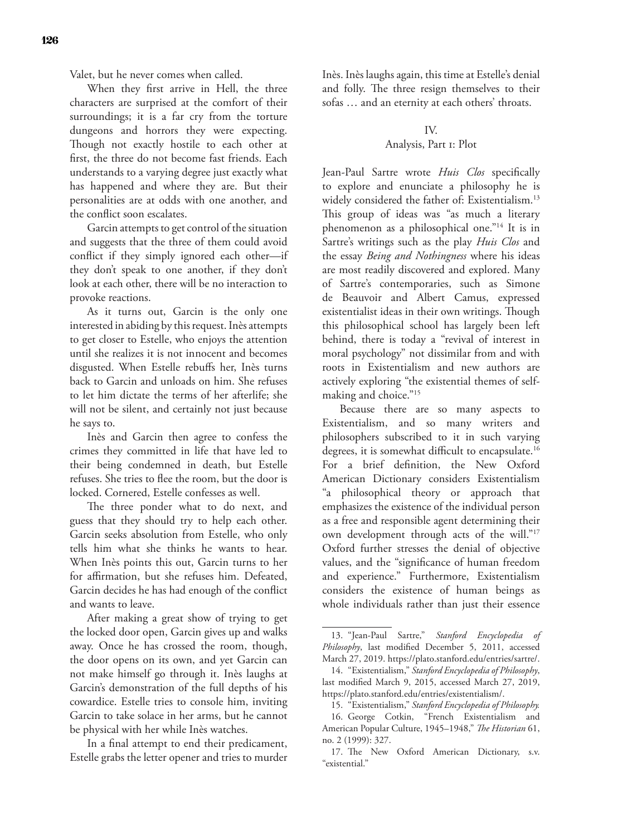Valet, but he never comes when called.

When they first arrive in Hell, the three characters are surprised at the comfort of their surroundings; it is a far cry from the torture dungeons and horrors they were expecting. Though not exactly hostile to each other at first, the three do not become fast friends. Each understands to a varying degree just exactly what has happened and where they are. But their personalities are at odds with one another, and the conflict soon escalates.

Garcin attempts to get control of the situation and suggests that the three of them could avoid conflict if they simply ignored each other—if they don't speak to one another, if they don't look at each other, there will be no interaction to provoke reactions.

As it turns out, Garcin is the only one interested in abiding by this request. Inès attempts to get closer to Estelle, who enjoys the attention until she realizes it is not innocent and becomes disgusted. When Estelle rebuffs her, Inès turns back to Garcin and unloads on him. She refuses to let him dictate the terms of her afterlife; she will not be silent, and certainly not just because he says to.

Inès and Garcin then agree to confess the crimes they committed in life that have led to their being condemned in death, but Estelle refuses. She tries to flee the room, but the door is locked. Cornered, Estelle confesses as well.

The three ponder what to do next, and guess that they should try to help each other. Garcin seeks absolution from Estelle, who only tells him what she thinks he wants to hear. When Inès points this out, Garcin turns to her for affirmation, but she refuses him. Defeated, Garcin decides he has had enough of the conflict and wants to leave.

After making a great show of trying to get the locked door open, Garcin gives up and walks away. Once he has crossed the room, though, the door opens on its own, and yet Garcin can not make himself go through it. Inès laughs at Garcin's demonstration of the full depths of his cowardice. Estelle tries to console him, inviting Garcin to take solace in her arms, but he cannot be physical with her while Inès watches.

In a final attempt to end their predicament, Estelle grabs the letter opener and tries to murder Inès. Inès laughs again, this time at Estelle's denial and folly. The three resign themselves to their sofas … and an eternity at each others' throats.

## IV.

# Analysis, Part 1: Plot

Jean-Paul Sartre wrote *Huis Clos* specifically to explore and enunciate a philosophy he is widely considered the father of: Existentialism.<sup>13</sup> This group of ideas was "as much a literary phenomenon as a philosophical one."14 It is in Sartre's writings such as the play *Huis Clos* and the essay *Being and Nothingness* where his ideas are most readily discovered and explored. Many of Sartre's contemporaries, such as Simone de Beauvoir and Albert Camus, expressed existentialist ideas in their own writings. Though this philosophical school has largely been left behind, there is today a "revival of interest in moral psychology" not dissimilar from and with roots in Existentialism and new authors are actively exploring "the existential themes of selfmaking and choice."15

Because there are so many aspects to Existentialism, and so many writers and philosophers subscribed to it in such varying degrees, it is somewhat difficult to encapsulate.<sup>16</sup> For a brief definition, the New Oxford American Dictionary considers Existentialism "a philosophical theory or approach that emphasizes the existence of the individual person as a free and responsible agent determining their own development through acts of the will."17 Oxford further stresses the denial of objective values, and the "significance of human freedom and experience." Furthermore, Existentialism considers the existence of human beings as whole individuals rather than just their essence

<sup>13.</sup> "Jean-Paul Sartre," *Stanford Encyclopedia of Philosophy*, last modified December 5, 2011, accessed March 27, 2019. https://plato.stanford.edu/entries/sartre/.

<sup>14.</sup> "Existentialism," *Stanford Encyclopedia of Philosophy*, last modified March 9, 2015, accessed March 27, 2019, https://plato.stanford.edu/entries/existentialism/.

<sup>15.</sup> "Existentialism," *Stanford Encyclopedia of Philosophy.* 16. George Cotkin, "French Existentialism and American Popular Culture, 1945–1948," *The Historian* 61, no. 2 (1999): 327.

<sup>17.</sup> The New Oxford American Dictionary, s.v. "existential."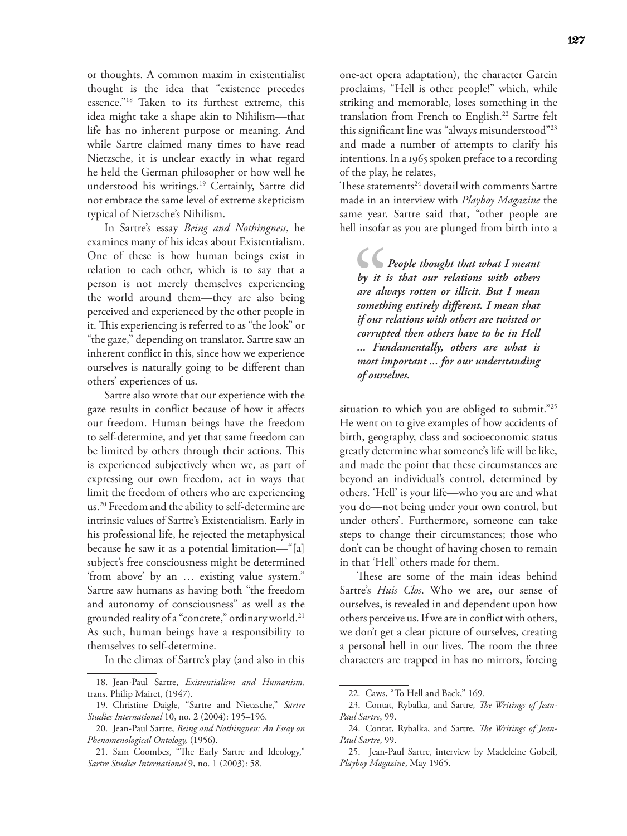or thoughts. A common maxim in existentialist thought is the idea that "existence precedes essence."18 Taken to its furthest extreme, this idea might take a shape akin to Nihilism—that life has no inherent purpose or meaning. And while Sartre claimed many times to have read Nietzsche, it is unclear exactly in what regard he held the German philosopher or how well he understood his writings.19 Certainly, Sartre did not embrace the same level of extreme skepticism typical of Nietzsche's Nihilism.

In Sartre's essay *Being and Nothingness*, he examines many of his ideas about Existentialism. One of these is how human beings exist in relation to each other, which is to say that a person is not merely themselves experiencing the world around them—they are also being perceived and experienced by the other people in it. This experiencing is referred to as "the look" or "the gaze," depending on translator. Sartre saw an inherent conflict in this, since how we experience ourselves is naturally going to be different than others' experiences of us.

Sartre also wrote that our experience with the gaze results in conflict because of how it affects our freedom. Human beings have the freedom to self-determine, and yet that same freedom can be limited by others through their actions. This is experienced subjectively when we, as part of expressing our own freedom, act in ways that limit the freedom of others who are experiencing us.20 Freedom and the ability to self-determine are intrinsic values of Sartre's Existentialism. Early in his professional life, he rejected the metaphysical because he saw it as a potential limitation—"[a] subject's free consciousness might be determined 'from above' by an … existing value system." Sartre saw humans as having both "the freedom and autonomy of consciousness" as well as the grounded reality of a "concrete," ordinary world.<sup>21</sup> As such, human beings have a responsibility to themselves to self-determine.

In the climax of Sartre's play (and also in this

one-act opera adaptation), the character Garcin proclaims, "Hell is other people!" which, while striking and memorable, loses something in the translation from French to English.<sup>22</sup> Sartre felt this significant line was "always misunderstood"23 and made a number of attempts to clarify his intentions. In a 1965 spoken preface to a recording of the play, he relates,

These statements<sup>24</sup> dovetail with comments Sartre made in an interview with *Playboy Magazine* the same year. Sartre said that, "other people are hell insofar as you are plunged from birth into a

*People thought that what I meant by it is that our relations with others are always rotten or illicit. But I mean something entirely different. I mean that if our relations with others are twisted or corrupted then others have to be in Hell ... Fundamentally, others are what is most important ... for our understanding of ourselves.*

situation to which you are obliged to submit."<sup>25</sup> He went on to give examples of how accidents of birth, geography, class and socioeconomic status greatly determine what someone's life will be like, and made the point that these circumstances are beyond an individual's control, determined by others. 'Hell' is your life—who you are and what you do—not being under your own control, but under others'. Furthermore, someone can take steps to change their circumstances; those who don't can be thought of having chosen to remain in that 'Hell' others made for them.

These are some of the main ideas behind Sartre's *Huis Clos*. Who we are, our sense of ourselves, is revealed in and dependent upon how others perceive us. If we are in conflict with others, we don't get a clear picture of ourselves, creating a personal hell in our lives. The room the three characters are trapped in has no mirrors, forcing

<sup>18.</sup> Jean-Paul Sartre, *Existentialism and Humanism*, trans. Philip Mairet, (1947).

<sup>19.</sup> Christine Daigle, "Sartre and Nietzsche," *Sartre Studies International* 10, no. 2 (2004): 195–196.

<sup>20.</sup> Jean-Paul Sartre, *Being and Nothingness: An Essay on Phenomenological Ontology,* (1956).

<sup>21.</sup> Sam Coombes, "The Early Sartre and Ideology," *Sartre Studies International* 9, no. 1 (2003): 58.

<sup>22.</sup> Caws, "To Hell and Back," 169.

<sup>23.</sup> Contat, Rybalka, and Sartre, *The Writings of Jean-Paul Sartre*, 99.

<sup>24.</sup> Contat, Rybalka, and Sartre, *The Writings of Jean-Paul Sartre*, 99.

<sup>25.</sup> Jean-Paul Sartre, interview by Madeleine Gobeil, *Playboy Magazine*, May 1965.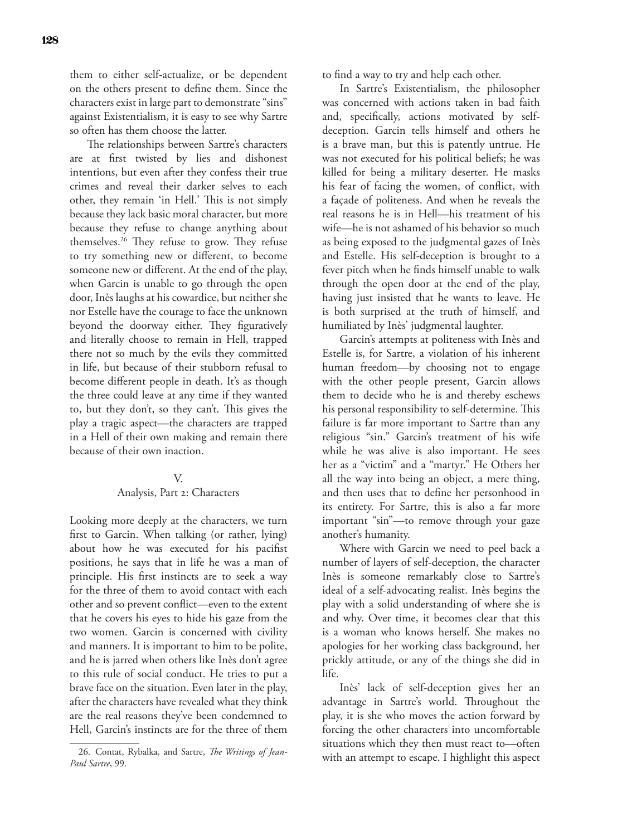them to either self-actualize, or be dependent on the others present to define them. Since the characters exist in large part to demonstrate "sins" against Existentialism, it is easy to see why Sartre so often has them choose the latter.

The relationships between Sartre's characters are at first twisted by lies and dishonest intentions, but even after they confess their true crimes and reveal their darker selves to each other, they remain 'in Hell.' This is not simply because they lack basic moral character, but more because they refuse to change anything about themselves.26 They refuse to grow. They refuse to try something new or different, to become someone new or different. At the end of the play, when Garcin is unable to go through the open door, Inès laughs at his cowardice, but neither she nor Estelle have the courage to face the unknown beyond the doorway either. They figuratively and literally choose to remain in Hell, trapped there not so much by the evils they committed in life, but because of their stubborn refusal to become different people in death. It's as though the three could leave at any time if they wanted to, but they don't, so they can't. This gives the play a tragic aspect—the characters are trapped in a Hell of their own making and remain there because of their own inaction.

#### V.

### Analysis, Part 2: Characters

Looking more deeply at the characters, we turn first to Garcin. When talking (or rather, lying) about how he was executed for his pacifist positions, he says that in life he was a man of principle. His first instincts are to seek a way for the three of them to avoid contact with each other and so prevent conflict—even to the extent that he covers his eyes to hide his gaze from the two women. Garcin is concerned with civility and manners. It is important to him to be polite, and he is jarred when others like Inès don't agree to this rule of social conduct. He tries to put a brave face on the situation. Even later in the play, after the characters have revealed what they think are the real reasons they've been condemned to Hell, Garcin's instincts are for the three of them

to find a way to try and help each other.

In Sartre's Existentialism, the philosopher was concerned with actions taken in bad faith and, specifically, actions motivated by selfdeception. Garcin tells himself and others he is a brave man, but this is patently untrue. He was not executed for his political beliefs; he was killed for being a military deserter. He masks his fear of facing the women, of conflict, with a façade of politeness. And when he reveals the real reasons he is in Hell—his treatment of his wife—he is not ashamed of his behavior so much as being exposed to the judgmental gazes of Inès and Estelle. His self-deception is brought to a fever pitch when he finds himself unable to walk through the open door at the end of the play, having just insisted that he wants to leave. He is both surprised at the truth of himself, and humiliated by Inès' judgmental laughter.

Garcin's attempts at politeness with Inès and Estelle is, for Sartre, a violation of his inherent human freedom—by choosing not to engage with the other people present, Garcin allows them to decide who he is and thereby eschews his personal responsibility to self-determine. This failure is far more important to Sartre than any religious "sin." Garcin's treatment of his wife while he was alive is also important. He sees her as a "victim" and a "martyr." He Others her all the way into being an object, a mere thing, and then uses that to define her personhood in its entirety. For Sartre, this is also a far more important "sin"—to remove through your gaze another's humanity.

Where with Garcin we need to peel back a number of layers of self-deception, the character Inès is someone remarkably close to Sartre's ideal of a self-advocating realist. Inès begins the play with a solid understanding of where she is and why. Over time, it becomes clear that this is a woman who knows herself. She makes no apologies for her working class background, her prickly attitude, or any of the things she did in life.

Inès' lack of self-deception gives her an advantage in Sartre's world. Throughout the play, it is she who moves the action forward by forcing the other characters into uncomfortable situations which they then must react to—often with an attempt to escape. I highlight this aspect

<sup>26.</sup> Contat, Rybalka, and Sartre, *The Writings of Jean-Paul Sartre*, 99.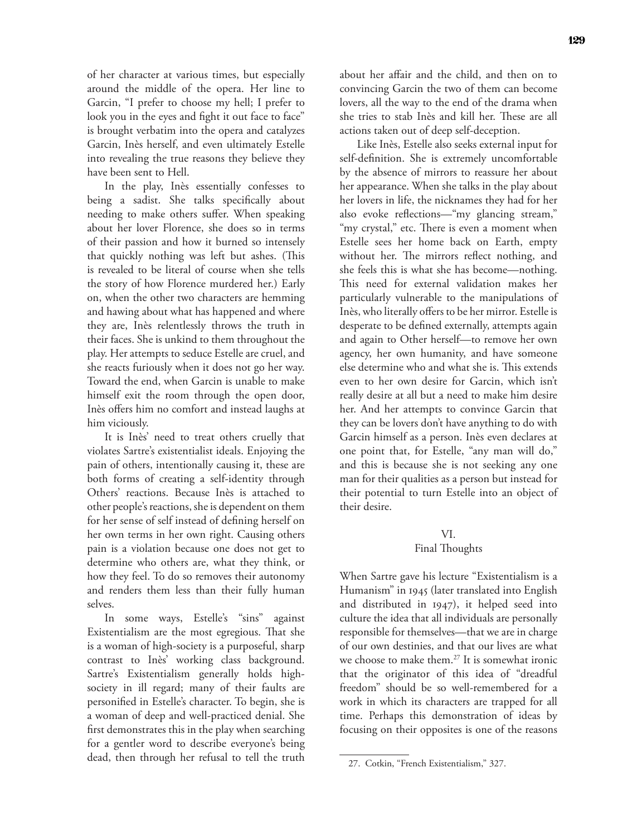of her character at various times, but especially around the middle of the opera. Her line to Garcin, "I prefer to choose my hell; I prefer to look you in the eyes and fight it out face to face" is brought verbatim into the opera and catalyzes Garcin, Inès herself, and even ultimately Estelle into revealing the true reasons they believe they have been sent to Hell.

In the play, Inès essentially confesses to being a sadist. She talks specifically about needing to make others suffer. When speaking about her lover Florence, she does so in terms of their passion and how it burned so intensely that quickly nothing was left but ashes. (This is revealed to be literal of course when she tells the story of how Florence murdered her.) Early on, when the other two characters are hemming and hawing about what has happened and where they are, Inès relentlessly throws the truth in their faces. She is unkind to them throughout the play. Her attempts to seduce Estelle are cruel, and she reacts furiously when it does not go her way. Toward the end, when Garcin is unable to make himself exit the room through the open door, Inès offers him no comfort and instead laughs at him viciously.

It is Inès' need to treat others cruelly that violates Sartre's existentialist ideals. Enjoying the pain of others, intentionally causing it, these are both forms of creating a self-identity through Others' reactions. Because Inès is attached to other people's reactions, she is dependent on them for her sense of self instead of defining herself on her own terms in her own right. Causing others pain is a violation because one does not get to determine who others are, what they think, or how they feel. To do so removes their autonomy and renders them less than their fully human selves.

In some ways, Estelle's "sins" against Existentialism are the most egregious. That she is a woman of high-society is a purposeful, sharp contrast to Inès' working class background. Sartre's Existentialism generally holds highsociety in ill regard; many of their faults are personified in Estelle's character. To begin, she is a woman of deep and well-practiced denial. She first demonstrates this in the play when searching for a gentler word to describe everyone's being dead, then through her refusal to tell the truth

about her affair and the child, and then on to convincing Garcin the two of them can become lovers, all the way to the end of the drama when she tries to stab Inès and kill her. These are all actions taken out of deep self-deception.

Like Inès, Estelle also seeks external input for self-definition. She is extremely uncomfortable by the absence of mirrors to reassure her about her appearance. When she talks in the play about her lovers in life, the nicknames they had for her also evoke reflections—"my glancing stream," "my crystal," etc. There is even a moment when Estelle sees her home back on Earth, empty without her. The mirrors reflect nothing, and she feels this is what she has become—nothing. This need for external validation makes her particularly vulnerable to the manipulations of Inès, who literally offers to be her mirror. Estelle is desperate to be defined externally, attempts again and again to Other herself—to remove her own agency, her own humanity, and have someone else determine who and what she is. This extends even to her own desire for Garcin, which isn't really desire at all but a need to make him desire her. And her attempts to convince Garcin that they can be lovers don't have anything to do with Garcin himself as a person. Inès even declares at one point that, for Estelle, "any man will do," and this is because she is not seeking any one man for their qualities as a person but instead for their potential to turn Estelle into an object of their desire.

# VI. Final Thoughts

When Sartre gave his lecture "Existentialism is a Humanism" in 1945 (later translated into English and distributed in 1947), it helped seed into culture the idea that all individuals are personally responsible for themselves—that we are in charge of our own destinies, and that our lives are what we choose to make them.<sup>27</sup> It is somewhat ironic that the originator of this idea of "dreadful freedom" should be so well-remembered for a work in which its characters are trapped for all time. Perhaps this demonstration of ideas by focusing on their opposites is one of the reasons

<sup>27.</sup> Cotkin, "French Existentialism," 327.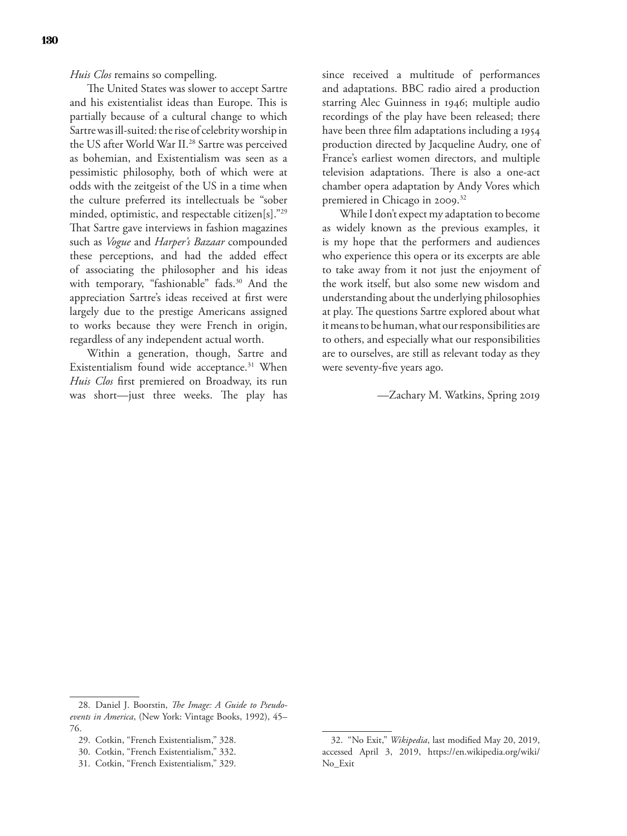*Huis Clos* remains so compelling.

The United States was slower to accept Sartre and his existentialist ideas than Europe. This is partially because of a cultural change to which Sartre was ill-suited: the rise of celebrity worship in the US after World War II.<sup>28</sup> Sartre was perceived as bohemian, and Existentialism was seen as a pessimistic philosophy, both of which were at odds with the zeitgeist of the US in a time when the culture preferred its intellectuals be "sober minded, optimistic, and respectable citizen[s]."29 That Sartre gave interviews in fashion magazines such as *Vogue* and *Harper's Bazaar* compounded these perceptions, and had the added effect of associating the philosopher and his ideas with temporary, "fashionable" fads.<sup>30</sup> And the appreciation Sartre's ideas received at first were largely due to the prestige Americans assigned to works because they were French in origin, regardless of any independent actual worth.

Within a generation, though, Sartre and Existentialism found wide acceptance.<sup>31</sup> When *Huis Clos* first premiered on Broadway, its run was short—just three weeks. The play has since received a multitude of performances and adaptations. BBC radio aired a production starring Alec Guinness in 1946; multiple audio recordings of the play have been released; there have been three film adaptations including a 1954 production directed by Jacqueline Audry, one of France's earliest women directors, and multiple television adaptations. There is also a one-act chamber opera adaptation by Andy Vores which premiered in Chicago in 2009.<sup>32</sup>

While I don't expect my adaptation to become as widely known as the previous examples, it is my hope that the performers and audiences who experience this opera or its excerpts are able to take away from it not just the enjoyment of the work itself, but also some new wisdom and understanding about the underlying philosophies at play. The questions Sartre explored about what it means to be human, what our responsibilities are to others, and especially what our responsibilities are to ourselves, are still as relevant today as they were seventy-five years ago.

—Zachary M. Watkins, Spring 2019

<sup>28.</sup> Daniel J. Boorstin, *The Image: A Guide to Pseudoevents in America*, (New York: Vintage Books, 1992), 45– 76.

<sup>29.</sup> Cotkin, "French Existentialism," 328.

<sup>30.</sup> Cotkin, "French Existentialism," 332.

<sup>31.</sup> Cotkin, "French Existentialism," 329.

<sup>32.</sup> "No Exit," *Wikipedia*, last modified May 20, 2019, accessed April 3, 2019, https://en.wikipedia.org/wiki/ No\_Exit